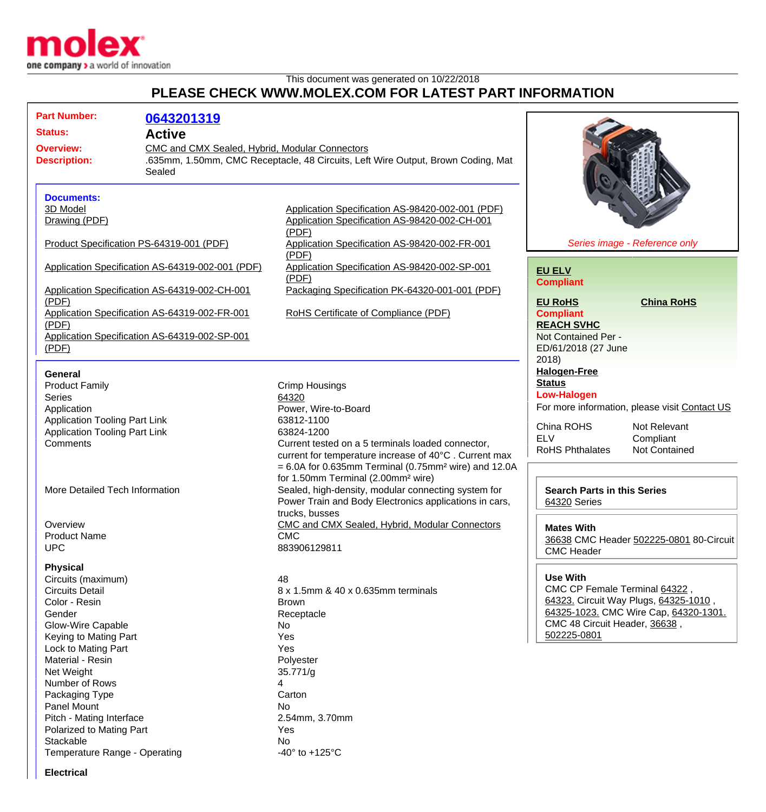

## This document was generated on 10/22/2018 **PLEASE CHECK WWW.MOLEX.COM FOR LATEST PART INFORMATION**

| <b>Part Number:</b>                                                                                        | 0643201319    |                                                                                                       |                                                                        |
|------------------------------------------------------------------------------------------------------------|---------------|-------------------------------------------------------------------------------------------------------|------------------------------------------------------------------------|
| <b>Status:</b>                                                                                             | <b>Active</b> |                                                                                                       |                                                                        |
| CMC and CMX Sealed, Hybrid, Modular Connectors<br><b>Overview:</b>                                         |               |                                                                                                       |                                                                        |
| <b>Description:</b>                                                                                        |               | .635mm, 1.50mm, CMC Receptacle, 48 Circuits, Left Wire Output, Brown Coding, Mat                      |                                                                        |
|                                                                                                            | Sealed        |                                                                                                       |                                                                        |
|                                                                                                            |               |                                                                                                       |                                                                        |
| <b>Documents:</b>                                                                                          |               |                                                                                                       |                                                                        |
| 3D Model                                                                                                   |               | Application Specification AS-98420-002-001 (PDF)                                                      |                                                                        |
| Drawing (PDF)                                                                                              |               | Application Specification AS-98420-002-CH-001                                                         |                                                                        |
|                                                                                                            |               | (PDF)                                                                                                 |                                                                        |
| Product Specification PS-64319-001 (PDF)                                                                   |               | Application Specification AS-98420-002-FR-001                                                         | Series image - Reference only                                          |
|                                                                                                            |               | (PDF)                                                                                                 |                                                                        |
| Application Specification AS-64319-002-001 (PDF)<br>Application Specification AS-64319-002-CH-001<br>(PDF) |               | Application Specification AS-98420-002-SP-001                                                         | <b>EU ELV</b>                                                          |
|                                                                                                            |               | (PDF)                                                                                                 | <b>Compliant</b>                                                       |
|                                                                                                            |               | Packaging Specification PK-64320-001-001 (PDF)                                                        |                                                                        |
|                                                                                                            |               |                                                                                                       | <b>China RoHS</b><br><b>EU RoHS</b>                                    |
| Application Specification AS-64319-002-FR-001                                                              |               | RoHS Certificate of Compliance (PDF)                                                                  | <b>Compliant</b>                                                       |
| (PDF)                                                                                                      |               |                                                                                                       | <b>REACH SVHC</b>                                                      |
| Application Specification AS-64319-002-SP-001                                                              |               |                                                                                                       | Not Contained Per -                                                    |
| (PDF)                                                                                                      |               |                                                                                                       | ED/61/2018 (27 June                                                    |
|                                                                                                            |               |                                                                                                       | 2018                                                                   |
| <b>General</b>                                                                                             |               |                                                                                                       | <b>Halogen-Free</b>                                                    |
| <b>Product Family</b>                                                                                      |               | <b>Crimp Housings</b>                                                                                 | <b>Status</b>                                                          |
| Series                                                                                                     |               | 64320                                                                                                 | <b>Low-Halogen</b>                                                     |
| Application                                                                                                |               | Power, Wire-to-Board                                                                                  | For more information, please visit Contact US                          |
| <b>Application Tooling Part Link</b>                                                                       |               | 63812-1100                                                                                            | China ROHS<br>Not Relevant                                             |
| <b>Application Tooling Part Link</b>                                                                       |               | 63824-1200                                                                                            | <b>ELV</b><br>Compliant                                                |
| Comments                                                                                                   |               | Current tested on a 5 terminals loaded connector,                                                     | <b>RoHS Phthalates</b><br>Not Contained                                |
|                                                                                                            |               | current for temperature increase of 40°C. Current max                                                 |                                                                        |
|                                                                                                            |               | $= 6.0A$ for 0.635mm Terminal (0.75mm <sup>2</sup> wire) and 12.0A                                    |                                                                        |
| More Detailed Tech Information                                                                             |               | for 1.50mm Terminal (2.00mm <sup>2</sup> wire)<br>Sealed, high-density, modular connecting system for |                                                                        |
|                                                                                                            |               | Power Train and Body Electronics applications in cars,                                                | <b>Search Parts in this Series</b><br>64320 Series                     |
|                                                                                                            |               | trucks, busses                                                                                        |                                                                        |
| Overview                                                                                                   |               | CMC and CMX Sealed, Hybrid, Modular Connectors                                                        |                                                                        |
| <b>Product Name</b>                                                                                        |               | <b>CMC</b>                                                                                            | <b>Mates With</b>                                                      |
| <b>UPC</b>                                                                                                 |               | 883906129811                                                                                          | 36638 CMC Header 502225-0801 80-Circuit                                |
|                                                                                                            |               |                                                                                                       | <b>CMC Header</b>                                                      |
| <b>Physical</b>                                                                                            |               |                                                                                                       |                                                                        |
| Circuits (maximum)                                                                                         |               | 48                                                                                                    | <b>Use With</b>                                                        |
| <b>Circuits Detail</b>                                                                                     |               | 8 x 1.5mm & 40 x 0.635mm terminals                                                                    | CMC CP Female Terminal 64322,                                          |
| Color - Resin                                                                                              |               | <b>Brown</b>                                                                                          | 64323. Circuit Way Plugs, 64325-1010,                                  |
| Gender                                                                                                     |               | Receptacle                                                                                            | 64325-1023. CMC Wire Cap, 64320-1301.<br>CMC 48 Circuit Header, 36638, |
| <b>Glow-Wire Capable</b>                                                                                   |               | No                                                                                                    | 502225-0801                                                            |
| Keying to Mating Part                                                                                      |               | Yes                                                                                                   |                                                                        |
| Lock to Mating Part                                                                                        |               | Yes                                                                                                   |                                                                        |
| Material - Resin<br>Net Weight                                                                             |               | Polyester<br>35.771/g                                                                                 |                                                                        |
| Number of Rows                                                                                             |               | 4                                                                                                     |                                                                        |
| Packaging Type                                                                                             |               | Carton                                                                                                |                                                                        |
| Panel Mount                                                                                                |               | No                                                                                                    |                                                                        |
| Pitch - Mating Interface                                                                                   |               | 2.54mm, 3.70mm                                                                                        |                                                                        |
| Polarized to Mating Part                                                                                   |               | Yes                                                                                                   |                                                                        |
| Stackable                                                                                                  |               | <b>No</b>                                                                                             |                                                                        |
| Temperature Range - Operating                                                                              |               | -40 $\degree$ to +125 $\degree$ C                                                                     |                                                                        |
|                                                                                                            |               |                                                                                                       |                                                                        |

**Electrical**